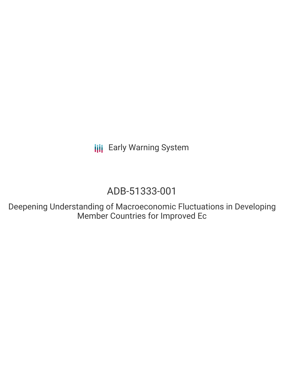**III** Early Warning System

# ADB-51333-001

Deepening Understanding of Macroeconomic Fluctuations in Developing Member Countries for Improved Ec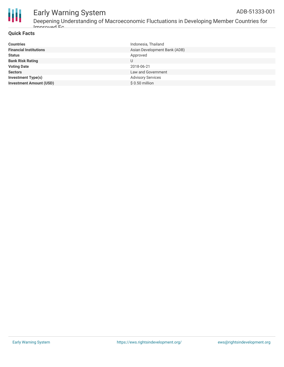

#### Early Warning System Deepening Understanding of Macroeconomic Fluctuations in Developing Member Countries for ADB-51333-001

### **Quick Facts**

Improved Ec

| <b>Countries</b>               | Indonesia, Thailand          |
|--------------------------------|------------------------------|
| <b>Financial Institutions</b>  | Asian Development Bank (ADB) |
| <b>Status</b>                  | Approved                     |
| <b>Bank Risk Rating</b>        | U                            |
| <b>Voting Date</b>             | 2018-06-21                   |
| <b>Sectors</b>                 | Law and Government           |
| <b>Investment Type(s)</b>      | <b>Advisory Services</b>     |
| <b>Investment Amount (USD)</b> | $$0.50$ million              |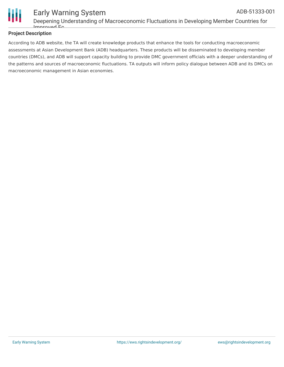

# **Project Description**

According to ADB website, the TA will create knowledge products that enhance the tools for conducting macroeconomic assessments at Asian Development Bank (ADB) headquarters. These products will be disseminated to developing member countries (DMCs), and ADB will support capacity building to provide DMC government officials with a deeper understanding of the patterns and sources of macroeconomic fluctuations. TA outputs will inform policy dialogue between ADB and its DMCs on macroeconomic management in Asian economies.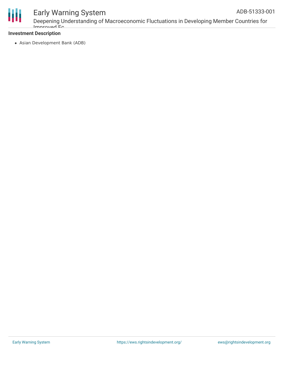

# Early Warning System

Deepening Understanding of Macroeconomic Fluctuations in Developing Member Countries for Improved Ec

## **Investment Description**

Asian Development Bank (ADB)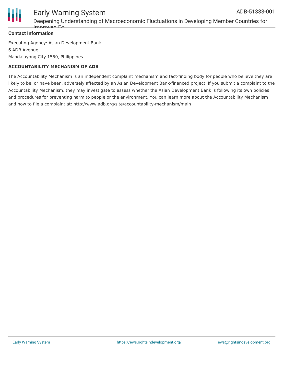

## **Contact Information**

Executing Agency: Asian Development Bank 6 ADB Avenue, Mandaluyong City 1550, Philippines

### **ACCOUNTABILITY MECHANISM OF ADB**

The Accountability Mechanism is an independent complaint mechanism and fact-finding body for people who believe they are likely to be, or have been, adversely affected by an Asian Development Bank-financed project. If you submit a complaint to the Accountability Mechanism, they may investigate to assess whether the Asian Development Bank is following its own policies and procedures for preventing harm to people or the environment. You can learn more about the Accountability Mechanism and how to file a complaint at: http://www.adb.org/site/accountability-mechanism/main